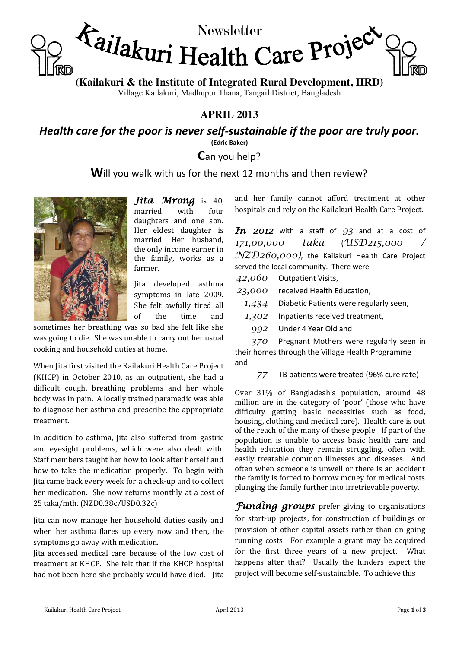

**(Kailakuri & the Institute of Integrated Rural Development, IIRD)**

Village Kailakuri, Madhupur Thana, Tangail District, Bangladesh

# **APRIL 2013**

*Health care for the poor is never self-sustainable if the poor are truly poor.* **(Edric Baker)**

**C**an you help?

**W**ill you walk with us for the next 12 months and then review?



*Jita Mrong* is 40, married with four daughters and one son. Her eldest daughter is married. Her husband, the only income earner in the family, works as a farmer.

Jita developed asthma symptoms in late 2009. She felt awfully tired all of the time and

sometimes her breathing was so bad she felt like she was going to die. She was unable to carry out her usual cooking and household duties at home.

When Jita first visited the Kailakuri Health Care Project (KHCP) in October 2010, as an outpatient, she had a difficult cough, breathing problems and her whole body was in pain. A locally trained paramedic was able to diagnose her asthma and prescribe the appropriate treatment.

In addition to asthma, Jita also suffered from gastric and eyesight problems, which were also dealt with. Staff members taught her how to look after herself and how to take the medication properly. To begin with Jita came back every week for a check-up and to collect her medication. She now returns monthly at a cost of 25 taka/mth. (NZD0.38c/USD0.32c)

Jita can now manage her household duties easily and when her asthma flares up every now and then, the symptoms go away with medication.

Jita accessed medical care because of the low cost of treatment at KHCP. She felt that if the KHCP hospital had not been here she probably would have died. Jita

and her family cannot afford treatment at other hospitals and rely on the Kailakuri Health Care Project.

*In 2012* with a staff of *93* and at a cost of *171,00,000 taka* (*USD215,000 / NZD260,000)*, the Kailakuri Health Care Project served the local community. There were

*42,060* Outpatient Visits,

*23,000* received Health Education,

*1,434* Diabetic Patients were regularly seen,

*1,302* Inpatients received treatment,

*992* Under 4 Year Old and

*370* Pregnant Mothers were regularly seen in their homes through the Village Health Programme and

*77* TB patients were treated (96% cure rate)

Over 31% of Bangladesh's population, around 48 million are in the category of 'poor' (those who have difficulty getting basic necessities such as food, housing, clothing and medical care). Health care is out of the reach of the many of these people. If part of the population is unable to access basic health care and health education they remain struggling, often with easily treatable common illnesses and diseases. And often when someone is unwell or there is an accident the family is forced to borrow money for medical costs plunging the family further into irretrievable poverty.

*Funding groups* prefer giving to organisations for start-up projects, for construction of buildings or provision of other capital assets rather than on-going running costs. For example a grant may be acquired for the first three years of a new project. What happens after that? Usually the funders expect the project will become self-sustainable. To achieve this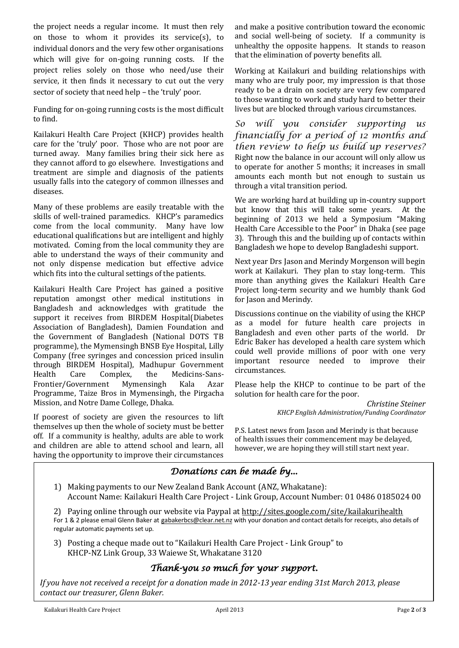the project needs a regular income. It must then rely on those to whom it provides its service(s), to individual donors and the very few other organisations which will give for on-going running costs. If the project relies solely on those who need/use their service, it then finds it necessary to cut out the very sector of society that need help - the 'truly' poor.

Funding for on-going running costs is the most difficult to find.

Kailakuri Health Care Project (KHCP) provides health care for the 'truly' poor. Those who are not poor are turned away. Many families bring their sick here as they cannot afford to go elsewhere. Investigations and treatment are simple and diagnosis of the patients usually falls into the category of common illnesses and diseases.

Many of these problems are easily treatable with the skills of well-trained paramedics. KHCP's paramedics come from the local community. Many have low educational qualifications but are intelligent and highly motivated. Coming from the local community they are able to understand the ways of their community and not only dispense medication but effective advice which fits into the cultural settings of the patients.

Kailakuri Health Care Project has gained a positive reputation amongst other medical institutions in Bangladesh and acknowledges with gratitude the support it receives from BIRDEM Hospital(Diabetes Association of Bangladesh), Damien Foundation and the Government of Bangladesh (National DOTS TB programme), the Mymensingh BNSB Eye Hospital, Lilly Company (free syringes and concession priced insulin through BIRDEM Hospital), Madhupur Government Health Care Complex, the Medicins-Sans-Frontier/Government Mymensingh Kala Azar Programme, Taize Bros in Mymensingh, the Pirgacha Mission, and Notre Dame College, Dhaka.

If poorest of society are given the resources to lift themselves up then the whole of society must be better off. If a community is healthy, adults are able to work and children are able to attend school and learn, all having the opportunity to improve their circumstances

and make a positive contribution toward the economic and social well-being of society. If a community is unhealthy the opposite happens. It stands to reason that the elimination of poverty benefits all.

Working at Kailakuri and building relationships with many who are truly poor, my impression is that those ready to be a drain on society are very few compared to those wanting to work and study hard to better their lives but are blocked through various circumstances.

*So will you consider supporting us financially for a period of 12 months and then review to help us build up reserves?* Right now the balance in our account will only allow us to operate for another 5 months; it increases in small amounts each month but not enough to sustain us through a vital transition period.

We are working hard at building up in-country support but know that this will take some years. At the beginning of 2013 we held a Symposium "Making Health Care Accessible to the Poor" in Dhaka (see page 3). Through this and the building up of contacts within Bangladesh we hope to develop Bangladeshi support.

Next year Drs Jason and Merindy Morgenson will begin work at Kailakuri. They plan to stay long-term. This more than anything gives the Kailakuri Health Care Project long-term security and we humbly thank God for Jason and Merindy.

Discussions continue on the viability of using the KHCP as a model for future health care projects in Bangladesh and even other parts of the world. Dr Edric Baker has developed a health care system which could well provide millions of poor with one very important resource needed to improve their circumstances.

Please help the KHCP to continue to be part of the solution for health care for the poor.

> *Christine Steiner KHCP English Administration/Funding Coordinator*

P.S. Latest news from Jason and Merindy is that because of health issues their commencement may be delayed, however, we are hoping they will still start next year.

# *Donations can be made by...*

1) Making payments to our New Zealand Bank Account (ANZ, Whakatane): Account Name: Kailakuri Health Care Project - Link Group, Account Number: 01 0486 0185024 00

2) Paying online through our website via Paypal at http://sites.google.com/site/kailakurihealth For 1 & 2 please email Glenn Baker at gabakerbcs@clear.net.nz with your donation and contact details for receipts, also details of regular automatic payments set up.

3) Posting a cheque made out to "Kailakuri Health Care Project - Link Group" to KHCP-NZ Link Group, 33 Waiewe St, Whakatane 3120

## *Thank-you so much for your support.*

*If you have not received a receipt for a donation made in 2012-13 year ending 31st March 2013, please contact our treasurer, Glenn Baker.*